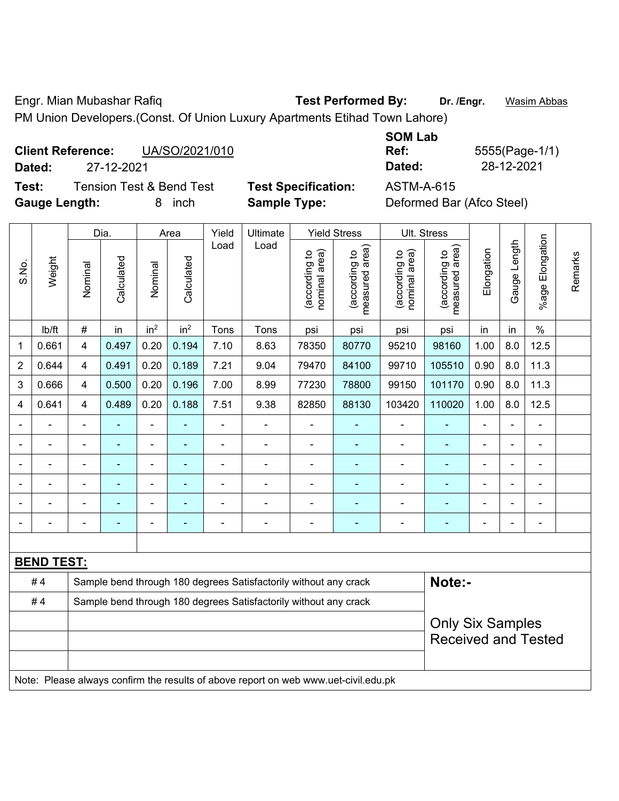Engr. Mian Mubashar Rafiq **Test Performed By: Dr. /Engr.** Wasim Abbas

PM Union Developers.(Const. Of Union Luxury Apartments Etihad Town Lahore)

## **Client Reference:** UA/SO/2021/010 **Dated:** 27-12-2021 **Dated:** 28-12-2021

**Test:** Tension Test & Bend Test **Test Specification:** ASTM-A-615 **Gauge Length:** 8 inch **Sample Type:** Deformed Bar (Afco Steel)

|             | וסרו |
|-------------|------|
|             | Dat  |
| :ification: | AST  |

**SOM Lab Ref:** 5555(Page-1/1)

|                | Dia.<br>Yield<br><b>Yield Stress</b><br>Ult. Stress<br>Ultimate<br>Area<br>Load<br>Load |                                                                  |                                                                  |                 |                 |                |                                                                                     |                                |                                 |                                |                                 |                |                |                         |         |
|----------------|-----------------------------------------------------------------------------------------|------------------------------------------------------------------|------------------------------------------------------------------|-----------------|-----------------|----------------|-------------------------------------------------------------------------------------|--------------------------------|---------------------------------|--------------------------------|---------------------------------|----------------|----------------|-------------------------|---------|
| S.No.          | Weight                                                                                  | Nominal                                                          | Calculated                                                       | Nominal         | Calculated      |                |                                                                                     | nominal area)<br>(according to | measured area)<br>(according to | nominal area)<br>(according to | (according to<br>measured area) | Elongation     | Gauge Length   | Elongation<br>$%$ age I | Remarks |
|                | Ib/ft                                                                                   | $\#$                                                             | in                                                               | in <sup>2</sup> | in <sup>2</sup> | Tons           | Tons                                                                                | psi                            | psi                             | psi                            | psi                             | in             | in             | $\%$                    |         |
| 1              | 0.661                                                                                   | $\overline{4}$                                                   | 0.497                                                            | 0.20            | 0.194           | 7.10           | 8.63                                                                                | 78350                          | 80770                           | 95210                          | 98160                           | 1.00           | 8.0            | 12.5                    |         |
| $\overline{2}$ | 0.644                                                                                   | $\overline{4}$                                                   | 0.491                                                            | 0.20            | 0.189           | 7.21           | 9.04                                                                                | 79470                          | 84100                           | 99710                          | 105510                          | 0.90           | 8.0            | 11.3                    |         |
| 3              | 0.666                                                                                   | $\overline{4}$                                                   | 0.500                                                            | 0.20            | 0.196           | 7.00           | 8.99                                                                                | 77230                          | 78800                           | 99150                          | 101170                          | 0.90           | 8.0            | 11.3                    |         |
| 4              | 0.641                                                                                   | $\overline{4}$                                                   | 0.489                                                            | 0.20            | 0.188           | 7.51           | 9.38                                                                                | 82850                          | 88130                           | 103420                         | 110020                          | 1.00           | 8.0            | 12.5                    |         |
| $\blacksquare$ |                                                                                         | ä,                                                               |                                                                  | $\blacksquare$  |                 | $\blacksquare$ | $\blacksquare$                                                                      | $\blacksquare$                 |                                 | ÷,                             | $\blacksquare$                  | L,             | $\blacksquare$ | $\blacksquare$          |         |
| $\blacksquare$ | $\blacksquare$                                                                          | ä,                                                               | $\blacksquare$                                                   | $\blacksquare$  | $\blacksquare$  | $\blacksquare$ | $\blacksquare$                                                                      | $\blacksquare$                 |                                 | $\blacksquare$                 | $\blacksquare$                  | $\blacksquare$ |                | $\blacksquare$          |         |
| $\blacksquare$ | $\blacksquare$                                                                          | $\blacksquare$                                                   | $\blacksquare$                                                   | $\blacksquare$  | ä,              | ÷              | $\blacksquare$                                                                      | $\blacksquare$                 |                                 | $\blacksquare$                 | $\blacksquare$                  | Ē,             |                | $\blacksquare$          |         |
| $\blacksquare$ |                                                                                         | $\blacksquare$                                                   | ÷                                                                |                 |                 | ÷              | $\blacksquare$                                                                      | $\blacksquare$                 |                                 | ä,                             | ۰                               | L,             |                | $\blacksquare$          |         |
|                |                                                                                         |                                                                  |                                                                  |                 |                 |                |                                                                                     |                                |                                 |                                |                                 |                |                |                         |         |
| ۰              |                                                                                         | $\blacksquare$                                                   |                                                                  |                 |                 |                | ÷                                                                                   |                                |                                 |                                |                                 |                |                |                         |         |
|                |                                                                                         |                                                                  |                                                                  |                 |                 |                |                                                                                     |                                |                                 |                                |                                 |                |                |                         |         |
|                | <b>BEND TEST:</b>                                                                       |                                                                  |                                                                  |                 |                 |                |                                                                                     |                                |                                 |                                |                                 |                |                |                         |         |
|                | #4                                                                                      | Sample bend through 180 degrees Satisfactorily without any crack |                                                                  |                 |                 |                |                                                                                     |                                |                                 | Note:-                         |                                 |                |                |                         |         |
|                | #4                                                                                      |                                                                  | Sample bend through 180 degrees Satisfactorily without any crack |                 |                 |                |                                                                                     |                                |                                 |                                |                                 |                |                |                         |         |
|                |                                                                                         | <b>Only Six Samples</b><br><b>Received and Tested</b>            |                                                                  |                 |                 |                |                                                                                     |                                |                                 |                                |                                 |                |                |                         |         |
|                |                                                                                         |                                                                  |                                                                  |                 |                 |                | Note: Please always confirm the results of above report on web www.uet-civil.edu.pk |                                |                                 |                                |                                 |                |                |                         |         |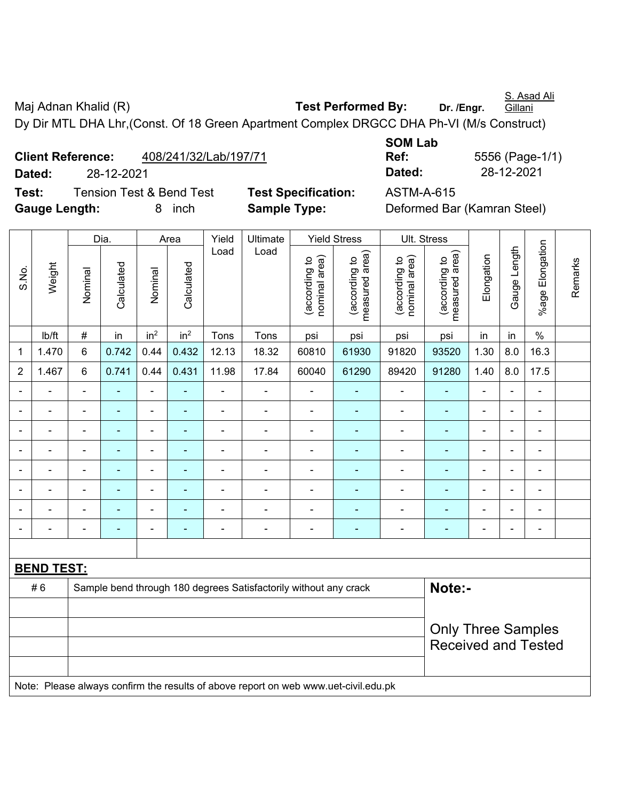S. Asad Ali

Maj Adnan Khalid (R) **Test Performed By:** Dr. /Engr. Gillani Dy Dir MTL DHA Lhr,(Const. Of 18 Green Apartment Complex DRGCC DHA Ph-VI (M/s Construct)

|                      | <b>Client Reference:</b> | 408/241/32/Lab/197/71               |                            | Ref:              | 5556 (Page-1)               |
|----------------------|--------------------------|-------------------------------------|----------------------------|-------------------|-----------------------------|
| Dated:               | 28-12-2021               |                                     |                            | Dated:            | 28-12-2021                  |
| Test:                |                          | <b>Tension Test &amp; Bend Test</b> | <b>Test Specification:</b> | <b>ASTM-A-615</b> |                             |
| <b>Gauge Length:</b> |                          | inch<br>8.                          | <b>Sample Type:</b>        |                   | Deformed Bar (Kamran Steel) |

| <b>SOM Lab</b> |                 |
|----------------|-----------------|
| Ref:           | 5556 (Page-1/1) |
| Dated:         | 28-12-2021      |

|                          | Dia.<br>Area      |                                                                                     |                          |                 |                          | Yield | Ultimate                                                         |                                | <b>Yield Stress</b>             |                                | Ult. Stress                     |                |                |                          |         |
|--------------------------|-------------------|-------------------------------------------------------------------------------------|--------------------------|-----------------|--------------------------|-------|------------------------------------------------------------------|--------------------------------|---------------------------------|--------------------------------|---------------------------------|----------------|----------------|--------------------------|---------|
| S.No.                    | Weight            | Nominal                                                                             | Calculated               | Nominal         | Calculated               | Load  | Load                                                             | nominal area)<br>(according to | (according to<br>measured area) | nominal area)<br>(according to | (according to<br>measured area) | Elongation     | Gauge Length   | %age Elongation          | Remarks |
|                          | Ib/ft             | $\#$                                                                                | in                       | in <sup>2</sup> | in <sup>2</sup>          | Tons  | Tons                                                             | psi                            | psi                             | psi                            | psi                             | in             | in             | $\%$                     |         |
| $\mathbf 1$              | 1.470             | $\,6$                                                                               | 0.742                    | 0.44            | 0.432                    | 12.13 | 18.32                                                            | 60810                          | 61930                           | 91820                          | 93520                           | 1.30           | 8.0            | 16.3                     |         |
| $\overline{2}$           | 1.467             | 6                                                                                   | 0.741                    | 0.44            | 0.431                    | 11.98 | 17.84                                                            | 60040                          | 61290                           | 89420                          | 91280                           | 1.40           | 8.0            | 17.5                     |         |
|                          |                   |                                                                                     |                          | $\blacksquare$  |                          |       | ÷,                                                               |                                |                                 |                                |                                 | $\blacksquare$ | Ē,             |                          |         |
| $\overline{\phantom{0}}$ |                   | $\blacksquare$                                                                      | $\overline{\phantom{0}}$ | $\blacksquare$  | ٠                        | ÷     | $\overline{\phantom{a}}$                                         | $\blacksquare$                 | ٠                               | ÷                              | $\blacksquare$                  | $\blacksquare$ | $\blacksquare$ | $\overline{a}$           |         |
| $\blacksquare$           | $\blacksquare$    | $\blacksquare$                                                                      | $\blacksquare$           | $\blacksquare$  | $\blacksquare$           | ä,    | $\blacksquare$                                                   | $\blacksquare$                 | $\blacksquare$                  | $\blacksquare$                 | $\blacksquare$                  | $\blacksquare$ | $\blacksquare$ | $\overline{\phantom{a}}$ |         |
|                          | $\blacksquare$    | $\blacksquare$                                                                      | $\blacksquare$           | $\blacksquare$  | $\overline{a}$           | ÷     | ÷                                                                |                                |                                 | ÷                              | $\blacksquare$                  | $\blacksquare$ | ÷,             |                          |         |
| $\overline{\phantom{0}}$ | $\blacksquare$    | $\blacksquare$                                                                      | $\blacksquare$           | $\blacksquare$  | $\overline{\phantom{a}}$ | ä,    | $\frac{1}{2}$                                                    | $\blacksquare$                 | $\blacksquare$                  | $\blacksquare$                 | $\blacksquare$                  | $\blacksquare$ | $\blacksquare$ | $\blacksquare$           |         |
|                          |                   |                                                                                     | $\blacksquare$           | $\overline{a}$  |                          | ÷     | ä,                                                               |                                |                                 | ä,                             | ä,                              |                | Ē,             | $\blacksquare$           |         |
|                          |                   |                                                                                     |                          |                 |                          |       |                                                                  |                                |                                 |                                |                                 |                |                |                          |         |
| $\overline{\phantom{a}}$ |                   |                                                                                     | $\overline{\phantom{a}}$ | $\blacksquare$  | $\overline{a}$           | ÷     | $\qquad \qquad \blacksquare$                                     | $\overline{\phantom{0}}$       | ٠                               | -                              | $\overline{\phantom{a}}$        | $\blacksquare$ | ÷,             | -                        |         |
|                          |                   |                                                                                     |                          |                 |                          |       |                                                                  |                                |                                 |                                |                                 |                |                |                          |         |
|                          | <b>BEND TEST:</b> |                                                                                     |                          |                 |                          |       |                                                                  |                                |                                 |                                |                                 |                |                |                          |         |
|                          | #6                |                                                                                     |                          |                 |                          |       | Sample bend through 180 degrees Satisfactorily without any crack |                                |                                 |                                | Note:-                          |                |                |                          |         |
|                          |                   |                                                                                     |                          |                 |                          |       |                                                                  |                                |                                 |                                |                                 |                |                |                          |         |
|                          |                   |                                                                                     |                          |                 |                          |       |                                                                  |                                |                                 |                                | <b>Only Three Samples</b>       |                |                |                          |         |
|                          |                   |                                                                                     |                          |                 |                          |       |                                                                  |                                |                                 |                                | <b>Received and Tested</b>      |                |                |                          |         |
|                          |                   |                                                                                     |                          |                 |                          |       |                                                                  |                                |                                 |                                |                                 |                |                |                          |         |
|                          |                   | Note: Please always confirm the results of above report on web www.uet-civil.edu.pk |                          |                 |                          |       |                                                                  |                                |                                 |                                |                                 |                |                |                          |         |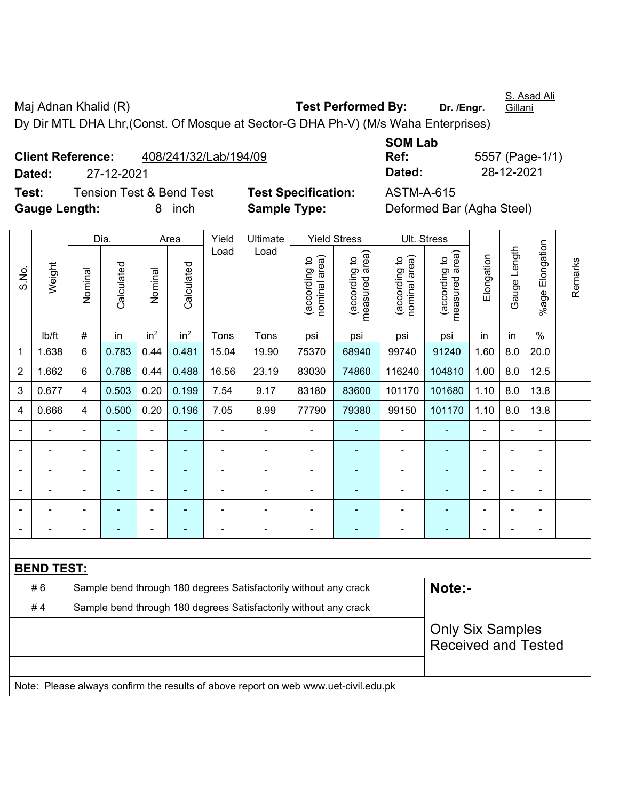Maj Adnan Khalid (R) **Test Performed By:** Dr. /Engr. **Gillani** Dy Dir MTL DHA Lhr,(Const. Of Mosque at Sector-G DHA Ph-V) (M/s Waha Enterprises)

**Client Reference:** 408/241/32/Lab/194/09 **Dated:** 27-12-2021 **Dated:** 28-12-2021 **Test:** Tension Test & Bend Test **Test Specification:** ASTM-A-615

**SOM Lab Ref:** 5557 (Page-1/1)

**Gauge Length:** 8 inch **Sample Type:** Deformed Bar (Agha Steel)

|                |                   |                                                                  | Dia.           |                 | Area            | Yield          | Ultimate                                                                            |                                | <b>Yield Stress</b>             |                                | Ult. Stress                     |                |              |                          |         |
|----------------|-------------------|------------------------------------------------------------------|----------------|-----------------|-----------------|----------------|-------------------------------------------------------------------------------------|--------------------------------|---------------------------------|--------------------------------|---------------------------------|----------------|--------------|--------------------------|---------|
| S.No.          | Weight            | Nominal                                                          | Calculated     | Nominal         | Calculated      | Load           | Load                                                                                | (according to<br>nominal area) | (according to<br>measured area) | nominal area)<br>(according to | (according to<br>measured area) | Elongation     | Gauge Length | Elongation<br>$%$ age    | Remarks |
|                | Ib/ft             | $\#$                                                             | in             | in <sup>2</sup> | in <sup>2</sup> | Tons           | Tons                                                                                | psi                            | psi                             | psi                            | psi                             | in             | in           | $\%$                     |         |
| $\mathbf{1}$   | 1.638             | 6                                                                | 0.783          | 0.44            | 0.481           | 15.04          | 19.90                                                                               | 75370                          | 68940                           | 99740                          | 91240                           | 1.60           | 8.0          | 20.0                     |         |
| $\overline{2}$ | 1.662             | 6                                                                | 0.788          | 0.44            | 0.488           | 16.56          | 23.19                                                                               | 83030                          | 74860                           | 116240                         | 104810                          | 1.00           | 8.0          | 12.5                     |         |
| 3              | 0.677             | $\overline{4}$                                                   | 0.503          | 0.20            | 0.199           | 7.54           | 9.17                                                                                | 83180                          | 83600                           | 101170                         | 101680                          | 1.10           | 8.0          | 13.8                     |         |
| 4              | 0.666             | $\overline{4}$                                                   | 0.500          | 0.20            | 0.196           | 7.05           | 8.99                                                                                | 77790                          | 79380                           | 99150                          | 101170                          | 1.10           | 8.0          | 13.8                     |         |
|                |                   | $\blacksquare$                                                   |                | $\frac{1}{2}$   |                 | $\blacksquare$ | ÷                                                                                   | $\blacksquare$                 | $\blacksquare$                  | ÷,                             | ÷                               | $\overline{a}$ |              | L,                       |         |
|                |                   | ä,                                                               | $\blacksquare$ | $\blacksquare$  | $\blacksquare$  | $\blacksquare$ | ä,                                                                                  | $\blacksquare$                 | $\blacksquare$                  | L,                             | $\blacksquare$                  | ä,             |              | ä,                       |         |
|                |                   |                                                                  |                | $\blacksquare$  |                 |                |                                                                                     |                                |                                 |                                |                                 |                |              |                          |         |
|                |                   |                                                                  |                |                 |                 |                | ÷                                                                                   |                                |                                 |                                |                                 |                |              |                          |         |
|                |                   | $\blacksquare$                                                   |                | ۰               |                 |                | $\blacksquare$                                                                      | $\blacksquare$                 | ۳                               |                                |                                 |                |              | $\overline{\phantom{0}}$ |         |
|                |                   |                                                                  |                | ۰               |                 |                | ÷                                                                                   | Ē,                             | ٠                               | $\blacksquare$                 | ÷                               |                |              | $\blacksquare$           |         |
|                |                   |                                                                  |                |                 |                 |                |                                                                                     |                                |                                 |                                |                                 |                |              |                          |         |
|                | <b>BEND TEST:</b> |                                                                  |                |                 |                 |                |                                                                                     |                                |                                 |                                |                                 |                |              |                          |         |
|                | #6                |                                                                  |                |                 |                 |                | Sample bend through 180 degrees Satisfactorily without any crack                    |                                |                                 |                                | Note:-                          |                |              |                          |         |
|                | #4                | Sample bend through 180 degrees Satisfactorily without any crack |                |                 |                 |                |                                                                                     |                                |                                 |                                |                                 |                |              |                          |         |
|                |                   |                                                                  |                |                 |                 |                |                                                                                     |                                |                                 |                                | <b>Only Six Samples</b>         |                |              |                          |         |
|                |                   |                                                                  |                |                 |                 |                |                                                                                     |                                |                                 |                                | <b>Received and Tested</b>      |                |              |                          |         |
|                |                   |                                                                  |                |                 |                 |                |                                                                                     |                                |                                 |                                |                                 |                |              |                          |         |
|                |                   |                                                                  |                |                 |                 |                | Note: Please always confirm the results of above report on web www.uet-civil.edu.pk |                                |                                 |                                |                                 |                |              |                          |         |
|                |                   |                                                                  |                |                 |                 |                |                                                                                     |                                |                                 |                                |                                 |                |              |                          |         |

S. Asad Ali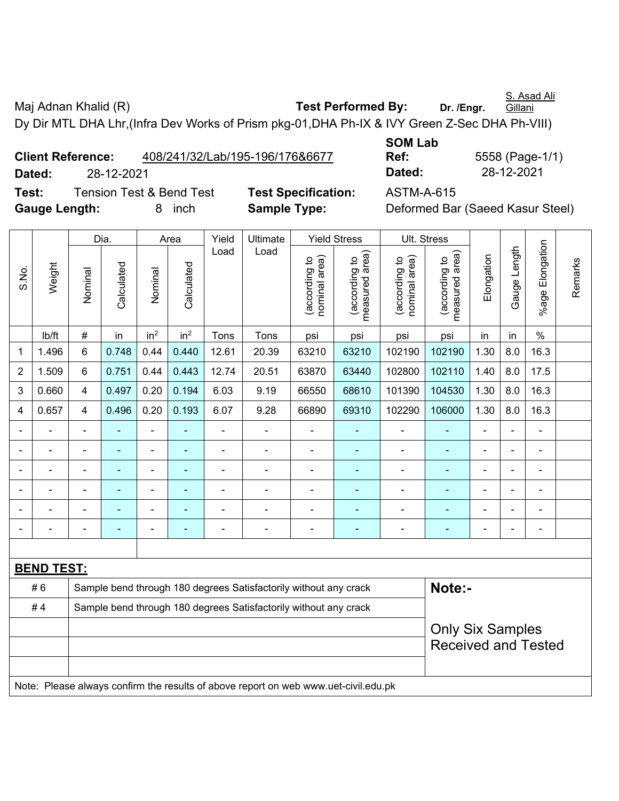S. Asad Ali

Maj Adnan Khalid (R) **Test Performed By:** Dr. /Engr.

**Gillani** 

Dy Dir MTL DHA Lhr,(Infra Dev Works of Prism pkg-01,DHA Ph-IX & IVY Green Z-Sec DHA Ph-VIII)

|                      | <b>Client Reference:</b> |                                     | 408/241/32/Lab/195-196/176&6677 | UVII LUM<br>Ref:  |
|----------------------|--------------------------|-------------------------------------|---------------------------------|-------------------|
| Dated:               | 28-12-2021               |                                     |                                 | Dated:            |
| Test:                |                          | <b>Tension Test &amp; Bend Test</b> | <b>Test Specification:</b>      | <b>ASTM-A-615</b> |
| <b>Gauge Length:</b> |                          | <i>inch</i>                         | <b>Sample Type:</b>             | Deformed Ba       |

**SOM Lab Ref:** 5558 (Page-1/1) **Dated:** 28-12-2021 **Dated:** 28-12-2021

**ype: Deformed Bar (Saeed Kasur Steel)** 

|                |                   |                                                                  | Dia.                                                                                                                                              |                 | Area            | Yield          | Ultimate       |                                | <b>Yield Stress</b>                           |                                | Ult. Stress                     |                |                |                 |         |
|----------------|-------------------|------------------------------------------------------------------|---------------------------------------------------------------------------------------------------------------------------------------------------|-----------------|-----------------|----------------|----------------|--------------------------------|-----------------------------------------------|--------------------------------|---------------------------------|----------------|----------------|-----------------|---------|
| S.No.          | Weight            | Nominal                                                          | Calculated                                                                                                                                        | Nominal         | Calculated      | Load           | Load           | nominal area)<br>(according to | (according to  <br>neasured area)<br>measured | nominal area)<br>(according to | (according to<br>measured area) | Elongation     | Gauge Length   | %age Elongation | Remarks |
|                | lb/ft             | $\#$                                                             | in                                                                                                                                                | in <sup>2</sup> | in <sup>2</sup> | Tons           | Tons           | psi                            | psi                                           | psi                            | psi                             | in             | in             | $\%$            |         |
| 1              | 1.496             | 6                                                                | 0.748                                                                                                                                             | 0.44            | 0.440           | 12.61          | 20.39          | 63210                          | 63210                                         | 102190                         | 102190                          | 1.30           | 8.0            | 16.3            |         |
| $\overline{2}$ | 1.509             | 6                                                                | 0.751                                                                                                                                             | 0.44            | 0.443           | 12.74          | 20.51          | 63870                          | 63440                                         | 102800                         | 102110                          | 1.40           | 8.0            | 17.5            |         |
| 3              | 0.660             | 4                                                                | 0.497                                                                                                                                             | 0.20            | 0.194           | 6.03           | 9.19           | 66550                          | 68610                                         | 101390                         | 104530                          | 1.30           | 8.0            | 16.3            |         |
| 4              | 0.657             | 4                                                                | 0.496                                                                                                                                             | 0.20            | 0.193           | 6.07           | 9.28           | 66890                          | 69310                                         | 102290                         | 106000                          | 1.30           | 8.0            | 16.3            |         |
|                | $\blacksquare$    | $\blacksquare$                                                   | $\overline{\phantom{0}}$                                                                                                                          | ÷,              | ٠               | $\blacksquare$ | ÷,             | $\blacksquare$                 | $\blacksquare$                                | $\overline{\phantom{a}}$       | $\blacksquare$                  | $\blacksquare$ | $\blacksquare$ | ÷,              |         |
|                | $\blacksquare$    | ä,                                                               | $\blacksquare$                                                                                                                                    | ÷               | ۰               | $\blacksquare$ | ÷,             | $\blacksquare$                 | $\overline{\phantom{a}}$                      | $\blacksquare$                 | $\blacksquare$                  | $\blacksquare$ | $\blacksquare$ | ÷,              |         |
|                | $\blacksquare$    | $\blacksquare$                                                   | ä,<br>$\blacksquare$<br>$\blacksquare$<br>$\blacksquare$<br>$\blacksquare$<br>ä,<br>ä,<br>$\blacksquare$<br>$\blacksquare$<br>۰<br>$\blacksquare$ |                 |                 |                |                |                                |                                               |                                |                                 |                | $\blacksquare$ |                 |         |
|                |                   |                                                                  |                                                                                                                                                   | ÷               |                 |                |                |                                |                                               | L,                             | $\blacksquare$                  |                |                |                 |         |
|                |                   |                                                                  |                                                                                                                                                   | ٠               |                 |                |                |                                |                                               |                                |                                 |                |                | ۰               |         |
| $\blacksquare$ | $\blacksquare$    | -                                                                | ÷                                                                                                                                                 | ۰               | ٠               | $\blacksquare$ | $\blacksquare$ | $\blacksquare$                 | $\overline{\phantom{a}}$                      | -                              | ٠                               | $\blacksquare$ | ÷              | ۰               |         |
|                |                   |                                                                  |                                                                                                                                                   |                 |                 |                |                |                                |                                               |                                |                                 |                |                |                 |         |
|                | <b>BEND TEST:</b> |                                                                  |                                                                                                                                                   |                 |                 |                |                |                                |                                               |                                |                                 |                |                |                 |         |
|                | #6                | Sample bend through 180 degrees Satisfactorily without any crack |                                                                                                                                                   |                 |                 |                |                |                                | Note:-                                        |                                |                                 |                |                |                 |         |
|                | #4                | Sample bend through 180 degrees Satisfactorily without any crack |                                                                                                                                                   |                 |                 |                |                |                                |                                               |                                |                                 |                |                |                 |         |
|                |                   |                                                                  |                                                                                                                                                   |                 |                 |                |                |                                |                                               |                                | <b>Only Six Samples</b>         |                |                |                 |         |
|                |                   |                                                                  |                                                                                                                                                   |                 |                 |                |                |                                |                                               |                                | <b>Received and Tested</b>      |                |                |                 |         |
|                |                   |                                                                  |                                                                                                                                                   |                 |                 |                |                |                                |                                               |                                |                                 |                |                |                 |         |
|                |                   |                                                                  | Note: Please always confirm the results of above report on web www.uet-civil.edu.pk                                                               |                 |                 |                |                |                                |                                               |                                |                                 |                |                |                 |         |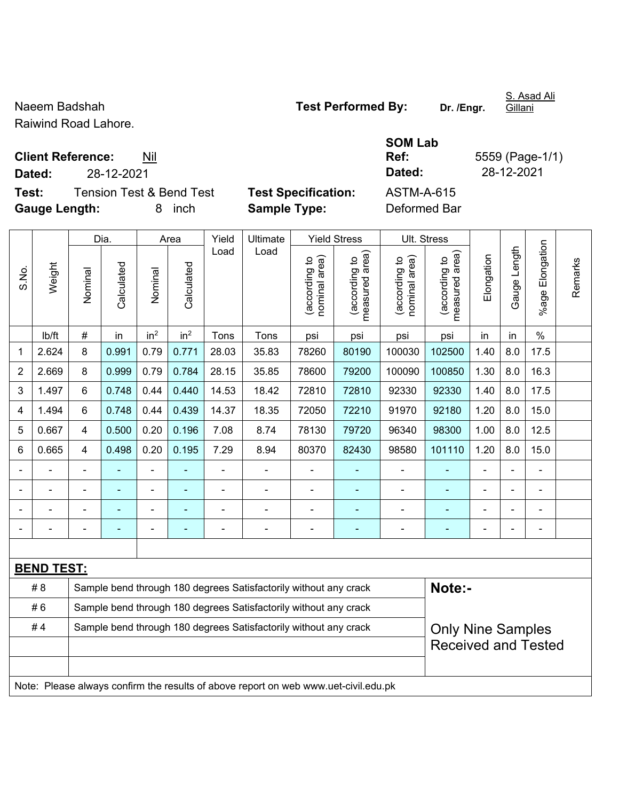Raiwind Road Lahore.

**Client Reference:** Nil

**Test:** Tension Test & Bend Test **Test Specification:** ASTM-A-615 **Gauge Length:** 8 inch **Sample Type:** Deformed Bar

**SOM Lab Ref:** 5559 (Page-1/1) **Dated:** 28-12-2021 **Dated:** 28-12-2021

|                |                   |                                                                                     | Dia.           |                 | Area            | Yield          | Ultimate                                                         |                                | <b>Yield Stress</b>             |                                | Ult. Stress                     |                |                |                              |         |
|----------------|-------------------|-------------------------------------------------------------------------------------|----------------|-----------------|-----------------|----------------|------------------------------------------------------------------|--------------------------------|---------------------------------|--------------------------------|---------------------------------|----------------|----------------|------------------------------|---------|
| S.No.          | Weight            | Nominal                                                                             | Calculated     | Nominal         | Calculated      | Load           | Load                                                             | nominal area)<br>(according to | measured area)<br>(according to | nominal area)<br>(according to | (according to<br>measured area) | Elongation     | Gauge Length   | Elongation<br>%age           | Remarks |
|                | lb/ft             | #                                                                                   | in             | in <sup>2</sup> | in <sup>2</sup> | Tons           | Tons                                                             | psi                            | psi                             | psi                            | psi                             | in             | in             | $\frac{0}{0}$                |         |
| 1              | 2.624             | 8                                                                                   | 0.991          | 0.79            | 0.771           | 28.03          | 35.83                                                            | 78260                          | 80190                           | 100030                         | 102500                          | 1.40           | 8.0            | 17.5                         |         |
| $\overline{2}$ | 2.669             | 8                                                                                   | 0.999          | 0.79            | 0.784           | 28.15          | 35.85                                                            | 78600                          | 79200                           | 100090                         | 100850                          | 1.30           | 8.0            | 16.3                         |         |
| 3              | 1.497             | 6                                                                                   | 0.748          | 0.44            | 0.440           | 14.53          | 18.42                                                            | 72810                          | 72810                           | 92330                          | 92330                           | 1.40           | 8.0            | 17.5                         |         |
| 4              | 1.494             | 6                                                                                   | 0.748          | 0.44            | 0.439           | 14.37          | 18.35                                                            | 72050                          | 72210                           | 91970                          | 92180                           | 1.20           | 8.0            | 15.0                         |         |
| 5              | 0.667             | $\overline{4}$                                                                      | 0.500          | 0.20            | 0.196           | 7.08           | 8.74                                                             | 78130                          | 79720                           | 96340                          | 98300                           | 1.00           | 8.0            | 12.5                         |         |
| 6              | 0.665             | $\overline{\mathbf{4}}$                                                             | 0.498          | 0.20            | 0.195           | 7.29           | 8.94                                                             | 80370                          | 82430                           | 98580                          | 101110                          | 1.20           | 8.0            | 15.0                         |         |
|                |                   |                                                                                     |                | ÷,              |                 | $\blacksquare$ | $\blacksquare$                                                   | ä,                             |                                 | $\blacksquare$                 | $\blacksquare$                  | $\blacksquare$ | $\blacksquare$ | ÷,                           |         |
| $\blacksquare$ | ä,                | ä,                                                                                  | $\blacksquare$ | $\blacksquare$  | ۰               | $\blacksquare$ | $\blacksquare$                                                   | ÷,                             | $\blacksquare$                  | $\blacksquare$                 | ÷                               | ä,             | $\blacksquare$ | $\blacksquare$               |         |
|                |                   |                                                                                     | ÷,             | ٠               | ۰               |                | ä,                                                               | $\blacksquare$                 | ÷                               | $\blacksquare$                 | ٠                               | ä,             |                | ÷,                           |         |
|                |                   |                                                                                     |                | ÷               |                 |                | $\blacksquare$                                                   |                                |                                 | $\blacksquare$                 | L,                              |                |                | $\qquad \qquad \blacksquare$ |         |
|                |                   |                                                                                     |                |                 |                 |                |                                                                  |                                |                                 |                                |                                 |                |                |                              |         |
|                | <b>BEND TEST:</b> |                                                                                     |                |                 |                 |                |                                                                  |                                |                                 |                                |                                 |                |                |                              |         |
|                | # 8               |                                                                                     |                |                 |                 |                | Sample bend through 180 degrees Satisfactorily without any crack |                                |                                 |                                | Note:-                          |                |                |                              |         |
|                | #6                | Sample bend through 180 degrees Satisfactorily without any crack                    |                |                 |                 |                |                                                                  |                                |                                 |                                |                                 |                |                |                              |         |
|                | #4                |                                                                                     |                |                 |                 |                | Sample bend through 180 degrees Satisfactorily without any crack |                                |                                 |                                | <b>Only Nine Samples</b>        |                |                |                              |         |
|                |                   |                                                                                     |                |                 |                 |                |                                                                  |                                |                                 |                                | <b>Received and Tested</b>      |                |                |                              |         |
|                |                   |                                                                                     |                |                 |                 |                |                                                                  |                                |                                 |                                |                                 |                |                |                              |         |
|                |                   | Note: Please always confirm the results of above report on web www.uet-civil.edu.pk |                |                 |                 |                |                                                                  |                                |                                 |                                |                                 |                |                |                              |         |

S. Asad Ali Gillani

Naeem Badshah **Naeem Badshah Test Performed By:** Dr. /Engr.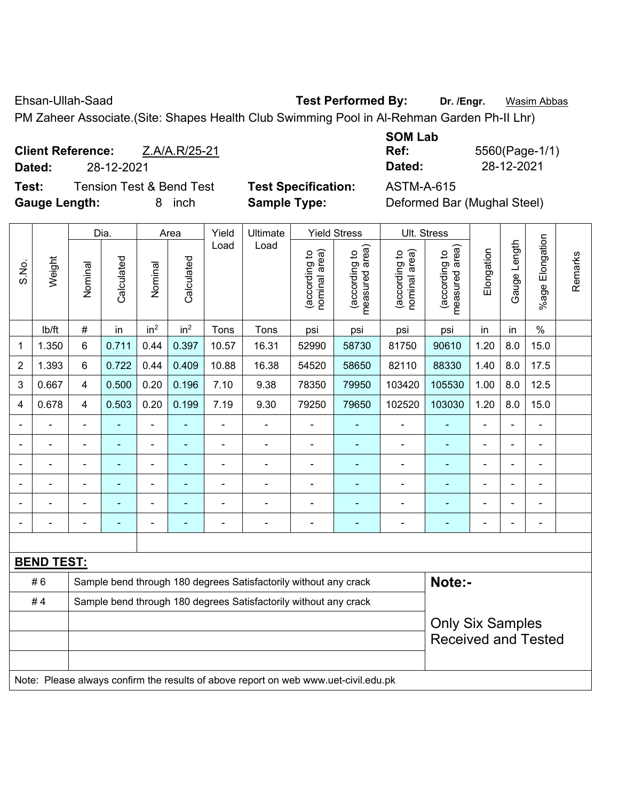Ehsan-Ullah-Saad **Test Performed By: Dr. /Engr.** Wasim Abbas

PM Zaheer Associate.(Site: Shapes Health Club Swimming Pool in Al-Rehman Garden Ph-II Lhr)

**Client Reference:** Z.A/A.R/25-21 **Dated:** 28-12-2021 **Dated:** 28-12-2021 **Test:** Tension Test & Bend Test **Test Specification:** ASTM-A-615

**SOM Lab Ref:** 5560(Page-1/1)

**Gauge Length:** 8 inch **Sample Type:** Deformed Bar (Mughal Steel)

|                |                   |                | Dia.                                                                                |                              | Area            | Yield                                                            | Ultimate                                                         |                                | <b>Yield Stress</b>             |                                | Ult. Stress                     |                |                          |                       |         |
|----------------|-------------------|----------------|-------------------------------------------------------------------------------------|------------------------------|-----------------|------------------------------------------------------------------|------------------------------------------------------------------|--------------------------------|---------------------------------|--------------------------------|---------------------------------|----------------|--------------------------|-----------------------|---------|
| S.No.          | Weight            | Nominal        | Calculated                                                                          | Nominal                      | Calculated      | Load                                                             | Load                                                             | nominal area)<br>(according to | (according to<br>measured area) | nominal area)<br>(according to | (according to<br>measured area) | Elongation     | Gauge Length             | Elongation<br>$%$ age | Remarks |
|                | lb/ft             | $\#$           | in                                                                                  | in <sup>2</sup>              | in <sup>2</sup> | Tons                                                             | Tons                                                             | psi                            | psi                             | psi                            | psi                             | in             | in                       | $\%$                  |         |
| 1              | 1.350             | 6              | 0.711                                                                               | 0.44                         | 0.397           | 10.57                                                            | 16.31                                                            | 52990                          | 58730                           | 81750                          | 90610                           | 1.20           | 8.0                      | 15.0                  |         |
| $\overline{2}$ | 1.393             | 6              | 0.722                                                                               | 0.44                         | 0.409           | 10.88                                                            | 16.38                                                            | 54520                          | 58650                           | 82110                          | 88330                           | 1.40           | 8.0                      | 17.5                  |         |
| 3              | 0.667             | $\overline{4}$ | 0.500                                                                               | 0.20                         | 0.196           | 7.10                                                             | 9.38                                                             | 78350                          | 79950                           | 103420                         | 105530                          | 1.00           | 8.0                      | 12.5                  |         |
| 4              | 0.678             | $\overline{4}$ | 0.503                                                                               | 0.20                         | 0.199           | 7.19                                                             | 9.30                                                             | 79250                          | 79650                           | 102520                         | 103030                          | 1.20           | 8.0                      | 15.0                  |         |
|                | $\blacksquare$    | $\blacksquare$ | ä,                                                                                  | ÷,                           |                 | $\blacksquare$                                                   | $\overline{a}$                                                   | L,                             | ٠                               | $\overline{\phantom{a}}$       | $\blacksquare$                  | $\blacksquare$ | ä,                       | $\blacksquare$        |         |
|                | $\blacksquare$    |                | ä,                                                                                  | $\qquad \qquad \blacksquare$ | ۰               | $\blacksquare$                                                   | $\blacksquare$                                                   | ä,                             | ٠                               | $\blacksquare$                 | ٠                               | $\blacksquare$ |                          | $\blacksquare$        |         |
|                |                   |                | ÷,<br>$\blacksquare$<br>$\blacksquare$<br>ä,<br>×,                                  |                              |                 |                                                                  |                                                                  |                                |                                 |                                |                                 |                |                          | $\blacksquare$        |         |
|                |                   |                |                                                                                     | ۰                            |                 |                                                                  |                                                                  |                                |                                 |                                |                                 |                |                          |                       |         |
|                |                   |                |                                                                                     | -                            |                 |                                                                  |                                                                  |                                |                                 | $\blacksquare$                 |                                 |                |                          |                       |         |
| $\blacksquare$ |                   |                | ۰                                                                                   |                              | ۰               | $\blacksquare$                                                   | $\blacksquare$                                                   | $\blacksquare$                 | ä,                              | $\blacksquare$                 | $\blacksquare$                  | $\blacksquare$ | $\overline{\phantom{0}}$ | $\blacksquare$        |         |
|                |                   |                |                                                                                     |                              |                 |                                                                  |                                                                  |                                |                                 |                                |                                 |                |                          |                       |         |
|                | <b>BEND TEST:</b> |                |                                                                                     |                              |                 |                                                                  |                                                                  |                                |                                 |                                |                                 |                |                          |                       |         |
|                | #6                |                |                                                                                     |                              |                 |                                                                  | Sample bend through 180 degrees Satisfactorily without any crack |                                |                                 |                                | Note:-                          |                |                          |                       |         |
|                | #4                |                |                                                                                     |                              |                 | Sample bend through 180 degrees Satisfactorily without any crack |                                                                  |                                |                                 |                                |                                 |                |                          |                       |         |
|                |                   |                |                                                                                     |                              |                 |                                                                  |                                                                  |                                |                                 |                                | <b>Only Six Samples</b>         |                |                          |                       |         |
|                |                   |                |                                                                                     |                              |                 |                                                                  |                                                                  |                                |                                 |                                | <b>Received and Tested</b>      |                |                          |                       |         |
|                |                   |                |                                                                                     |                              |                 |                                                                  |                                                                  |                                |                                 |                                |                                 |                |                          |                       |         |
|                |                   |                | Note: Please always confirm the results of above report on web www.uet-civil.edu.pk |                              |                 |                                                                  |                                                                  |                                |                                 |                                |                                 |                |                          |                       |         |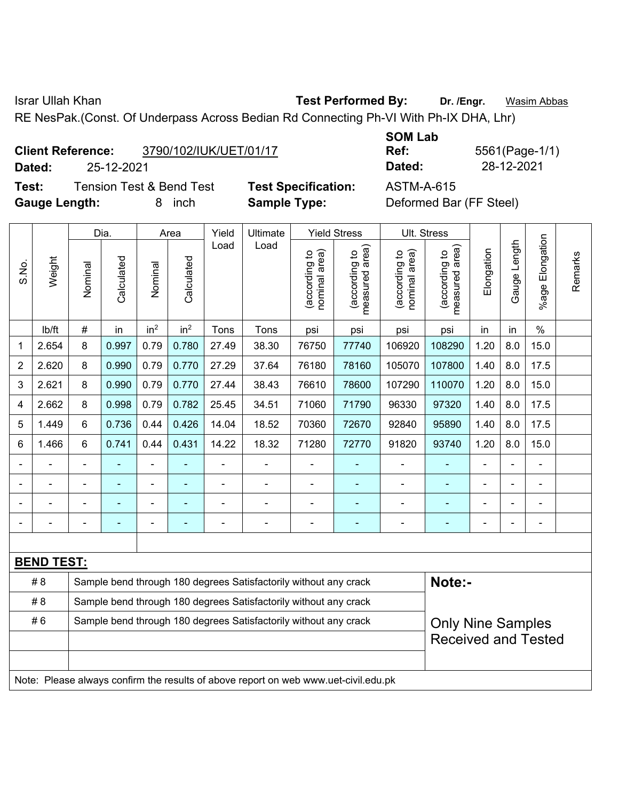Israr Ullah Khan **Test Performed By: Dr. /Engr.** Wasim Abbas

RE NesPak.(Const. Of Underpass Across Bedian Rd Connecting Ph-VI With Ph-IX DHA, Lhr)

| <b>Client Reference:</b> | 3790/102/IUK/UET/01/17 |
|--------------------------|------------------------|
|                          |                        |

**Test:** Tension Test & Bend Test **Test Specification:** ASTM-A-615 **Gauge Length:** 8 inch **Sample Type:** Deformed Bar (FF Steel)

**SOM Lab Ref:** 5561(Page-1/1) **Dated:** 25-12-2021 **Dated:** 28-12-2021

|                |                   |                                                                  | Dia.           |                 | Area            | Yield          | Ultimate                                                                            |                                | <b>Yield Stress</b>             | Ult. Stress                    |                                 |                |                |                 |         |
|----------------|-------------------|------------------------------------------------------------------|----------------|-----------------|-----------------|----------------|-------------------------------------------------------------------------------------|--------------------------------|---------------------------------|--------------------------------|---------------------------------|----------------|----------------|-----------------|---------|
| S.No.          | Weight            | Nominal                                                          | Calculated     | Nominal         | Calculated      | Load           | Load                                                                                | nominal area)<br>(according to | measured area)<br>(according to | nominal area)<br>(according to | measured area)<br>(according to | Elongation     | Gauge Length   | %age Elongation | Remarks |
|                | lb/ft             | $\#$                                                             | in             | in <sup>2</sup> | in <sup>2</sup> | Tons           | Tons                                                                                | psi                            | psi                             | psi                            | psi                             | in             | in             | $\%$            |         |
| 1              | 2.654             | 8                                                                | 0.997          | 0.79            | 0.780           | 27.49          | 38.30                                                                               | 76750                          | 77740                           | 106920                         | 108290                          | 1.20           | 8.0            | 15.0            |         |
| 2              | 2.620             | 8                                                                | 0.990          | 0.79            | 0.770           | 27.29          | 37.64                                                                               | 76180                          | 78160                           | 105070                         | 107800                          | 1.40           | 8.0            | 17.5            |         |
| 3              | 2.621             | 8                                                                | 0.990          | 0.79            | 0.770           | 27.44          | 38.43                                                                               | 76610                          | 78600                           | 107290                         | 110070                          | 1.20           | 8.0            | 15.0            |         |
| 4              | 2.662             | 8                                                                | 0.998          | 0.79            | 0.782           | 25.45          | 34.51                                                                               | 71060                          | 71790                           | 96330                          | 97320                           | 1.40           | 8.0            | 17.5            |         |
| 5              | 1.449             | 6                                                                | 0.736          | 0.44            | 0.426           | 14.04          | 18.52                                                                               | 70360                          | 72670                           | 92840                          | 95890                           | 1.40           | 8.0            | 17.5            |         |
| 6              | 1.466             | $6\phantom{1}$                                                   | 0.741          | 0.44            | 0.431           | 14.22          | 18.32                                                                               | 71280                          | 72770                           | 91820                          | 93740                           | 1.20           | 8.0            | 15.0            |         |
| $\blacksquare$ |                   | $\blacksquare$                                                   | $\blacksquare$ | $\blacksquare$  |                 | $\blacksquare$ | $\frac{1}{2}$                                                                       | $\overline{\phantom{a}}$       |                                 | $\blacksquare$                 |                                 |                |                | $\blacksquare$  |         |
| $\blacksquare$ |                   | ä,                                                               | $\blacksquare$ | ÷,              | ÷               | $\blacksquare$ | $\overline{\phantom{a}}$                                                            | $\blacksquare$                 | $\blacksquare$                  | $\blacksquare$                 | ٠                               | $\blacksquare$ | $\blacksquare$ | $\blacksquare$  |         |
|                |                   | $\blacksquare$                                                   | ä,             | ÷               |                 | $\blacksquare$ | ÷,                                                                                  |                                |                                 | $\blacksquare$                 |                                 | $\blacksquare$ |                | $\blacksquare$  |         |
|                |                   | $\blacksquare$                                                   | -              | ۰               | $\overline{a}$  | $\blacksquare$ | $\overline{\phantom{a}}$                                                            | $\overline{a}$                 | $\overline{\phantom{a}}$        | $\overline{a}$                 | $\blacksquare$                  | ٠              |                | $\blacksquare$  |         |
|                |                   |                                                                  |                |                 |                 |                |                                                                                     |                                |                                 |                                |                                 |                |                |                 |         |
|                | <b>BEND TEST:</b> |                                                                  |                |                 |                 |                |                                                                                     |                                |                                 |                                |                                 |                |                |                 |         |
|                | # 8               |                                                                  |                |                 |                 |                | Sample bend through 180 degrees Satisfactorily without any crack                    |                                |                                 |                                | Note:-                          |                |                |                 |         |
|                | #8                | Sample bend through 180 degrees Satisfactorily without any crack |                |                 |                 |                |                                                                                     |                                |                                 |                                |                                 |                |                |                 |         |
|                | #6                |                                                                  |                |                 |                 |                | Sample bend through 180 degrees Satisfactorily without any crack                    |                                |                                 |                                | <b>Only Nine Samples</b>        |                |                |                 |         |
|                |                   |                                                                  |                |                 |                 |                |                                                                                     |                                |                                 |                                | <b>Received and Tested</b>      |                |                |                 |         |
|                |                   |                                                                  |                |                 |                 |                |                                                                                     |                                |                                 |                                |                                 |                |                |                 |         |
|                |                   |                                                                  |                |                 |                 |                | Note: Please always confirm the results of above report on web www.uet-civil.edu.pk |                                |                                 |                                |                                 |                |                |                 |         |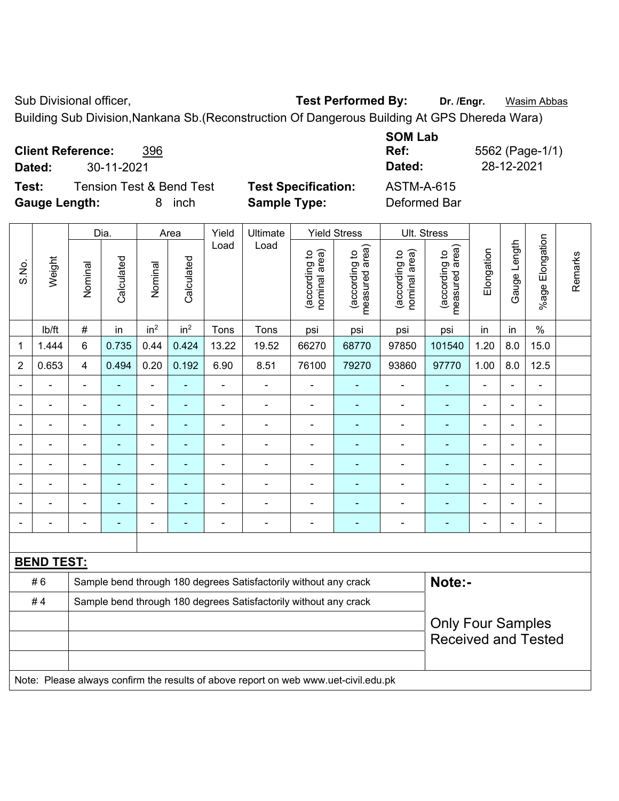Sub Divisional officer, **Test Performed By:** Dr. /Engr. **Wasim Abbas** 

Building Sub Division,Nankana Sb.(Reconstruction Of Dangerous Building At GPS Dhereda Wara)

| <b>Client Reference:</b><br>396 |
|---------------------------------|
|---------------------------------|

**Test:** Tension Test & Bend Test **Test Specification:** ASTM-A-615 **Gauge Length:** 8 inch **Sample Type:** Deformed Bar

**SOM Lab Ref:** 5562 (Page-1/1) **Dated:** 30-11-2021 **Dated:** 28-12-2021

| S.No.          | Weight            | Dia.                                                                       |                          | Area            |                                                                  | Yield          | Ultimate                                                                            | <b>Yield Stress</b> |                                | Ult. Stress                     |                                |                                 |                |                |                    |         |
|----------------|-------------------|----------------------------------------------------------------------------|--------------------------|-----------------|------------------------------------------------------------------|----------------|-------------------------------------------------------------------------------------|---------------------|--------------------------------|---------------------------------|--------------------------------|---------------------------------|----------------|----------------|--------------------|---------|
|                |                   | Nominal                                                                    | Calculated               | Nominal         | Calculated                                                       | Load           |                                                                                     | Load                | nominal area)<br>(according to | (according to<br>measured area) | nominal area)<br>(according to | (according to<br>measured area) | Elongation     | Gauge Length   | Elongation<br>%age | Remarks |
|                | lb/ft             | #                                                                          | in                       | in <sup>2</sup> | in <sup>2</sup>                                                  | Tons           | Tons                                                                                | psi                 | psi                            | psi                             | psi                            | in                              | in             | $\frac{0}{0}$  |                    |         |
| 1              | 1.444             | 6                                                                          | 0.735                    | 0.44            | 0.424                                                            | 13.22          | 19.52                                                                               | 66270               | 68770                          | 97850                           | 101540                         | 1.20                            | 8.0            | 15.0           |                    |         |
| $\overline{2}$ | 0.653             | $\overline{4}$                                                             | 0.494                    | 0.20            | 0.192                                                            | 6.90           | 8.51                                                                                | 76100               | 79270                          | 93860                           | 97770                          | 1.00                            | 8.0            | 12.5           |                    |         |
|                | ä,                | $\blacksquare$                                                             | ä,                       | $\blacksquare$  | ä,                                                               | L,             | $\blacksquare$                                                                      | $\blacksquare$      | ÷                              | ä,                              | $\blacksquare$                 | L.                              | $\blacksquare$ | $\blacksquare$ |                    |         |
|                | $\blacksquare$    | $\overline{a}$                                                             | $\blacksquare$           | ä,              | $\blacksquare$                                                   | L,             | ä,                                                                                  | $\blacksquare$      | ä,                             | $\blacksquare$                  | $\blacksquare$                 | ä,                              |                | $\blacksquare$ |                    |         |
|                | $\blacksquare$    | $\blacksquare$                                                             | ÷,                       | $\blacksquare$  | $\blacksquare$                                                   | $\blacksquare$ | $\blacksquare$                                                                      | $\blacksquare$      | ۰                              | $\blacksquare$                  | $\blacksquare$                 | $\blacksquare$                  |                | $\blacksquare$ |                    |         |
|                | $\overline{a}$    | $\blacksquare$                                                             | $\blacksquare$           | $\blacksquare$  | ٠                                                                | $\blacksquare$ | $\blacksquare$                                                                      | $\blacksquare$      | ۰                              | $\blacksquare$                  | $\blacksquare$                 | $\blacksquare$                  |                | $\blacksquare$ |                    |         |
|                |                   | $\blacksquare$                                                             | ä,                       | $\overline{a}$  | ٠                                                                | $\blacksquare$ | $\blacksquare$                                                                      | ä,                  | $\blacksquare$                 | $\blacksquare$                  | $\sim$                         | $\blacksquare$                  |                | ÷              |                    |         |
|                |                   |                                                                            |                          | ÷               |                                                                  | ä,             | $\blacksquare$                                                                      | $\blacksquare$      |                                | ÷                               |                                |                                 |                | ÷              |                    |         |
|                |                   | $\blacksquare$                                                             | ۰                        | $\blacksquare$  |                                                                  | $\blacksquare$ | $\blacksquare$                                                                      |                     |                                | $\blacksquare$                  | $\blacksquare$                 |                                 |                | $\overline{a}$ |                    |         |
|                |                   | ÷                                                                          | ÷                        | ÷               | ÷                                                                | -              | $\overline{\phantom{a}}$                                                            | -                   | ÷                              | $\overline{a}$                  | $\blacksquare$                 | ÷                               | $\blacksquare$ | $\overline{a}$ |                    |         |
|                |                   |                                                                            |                          |                 |                                                                  |                |                                                                                     |                     |                                |                                 |                                |                                 |                |                |                    |         |
|                | <b>BEND TEST:</b> |                                                                            |                          |                 |                                                                  |                |                                                                                     |                     |                                |                                 |                                |                                 |                |                |                    |         |
|                | #6                | Note:-<br>Sample bend through 180 degrees Satisfactorily without any crack |                          |                 |                                                                  |                |                                                                                     |                     |                                |                                 |                                |                                 |                |                |                    |         |
|                | #4                |                                                                            |                          |                 | Sample bend through 180 degrees Satisfactorily without any crack |                |                                                                                     |                     |                                |                                 |                                |                                 |                |                |                    |         |
|                |                   |                                                                            | <b>Only Four Samples</b> |                 |                                                                  |                |                                                                                     |                     |                                |                                 |                                |                                 |                |                |                    |         |
|                |                   |                                                                            |                          |                 |                                                                  |                |                                                                                     |                     |                                |                                 | <b>Received and Tested</b>     |                                 |                |                |                    |         |
|                |                   |                                                                            |                          |                 |                                                                  |                |                                                                                     |                     |                                |                                 |                                |                                 |                |                |                    |         |
|                |                   |                                                                            |                          |                 |                                                                  |                | Note: Please always confirm the results of above report on web www.uet-civil.edu.pk |                     |                                |                                 |                                |                                 |                |                |                    |         |